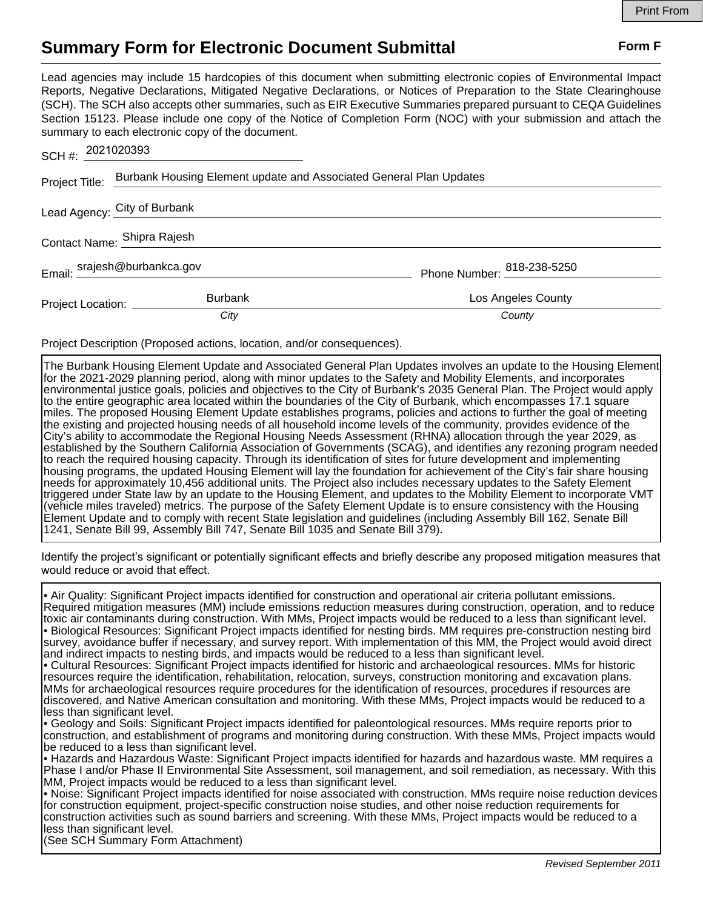## **Summary Form for Electronic Document Submittal Form F Form F**

Lead agencies may include 15 hardcopies of this document when submitting electronic copies of Environmental Impact Reports, Negative Declarations, Mitigated Negative Declarations, or Notices of Preparation to the State Clearinghouse (SCH). The SCH also accepts other summaries, such as EIR Executive Summaries prepared pursuant to CEQA Guidelines Section 15123. Please include one copy of the Notice of Completion Form (NOC) with your submission and attach the summary to each electronic copy of the document.

| SCH #: 2021020393            |                                                                    |                            |
|------------------------------|--------------------------------------------------------------------|----------------------------|
| Project Title:               | Burbank Housing Element update and Associated General Plan Updates |                            |
|                              | Lead Agency: City of Burbank                                       |                            |
|                              | Contact Name: Shipra Rajesh                                        |                            |
|                              | Email: srajesh@burbankca.gov                                       | Phone Number: 818-238-5250 |
| Project Location: __________ | <b>Burbank</b>                                                     | Los Angeles County         |
|                              | City                                                               | County                     |

Project Description (Proposed actions, location, and/or consequences).

The Burbank Housing Element Update and Associated General Plan Updates involves an update to the Housing Element for the 2021-2029 planning period, along with minor updates to the Safety and Mobility Elements, and incorporates environmental justice goals, policies and objectives to the City of Burbank's 2035 General Plan. The Project would apply to the entire geographic area located within the boundaries of the City of Burbank, which encompasses 17.1 square miles. The proposed Housing Element Update establishes programs, policies and actions to further the goal of meeting the existing and projected housing needs of all household income levels of the community, provides evidence of the City's ability to accommodate the Regional Housing Needs Assessment (RHNA) allocation through the year 2029, as established by the Southern California Association of Governments (SCAG), and identifies any rezoning program needed to reach the required housing capacity. Through its identification of sites for future development and implementing housing programs, the updated Housing Element will lay the foundation for achievement of the City's fair share housing needs for approximately 10,456 additional units. The Project also includes necessary updates to the Safety Element triggered under State law by an update to the Housing Element, and updates to the Mobility Element to incorporate VMT (vehicle miles traveled) metrics. The purpose of the Safety Element Update is to ensure consistency with the Housing Element Update and to comply with recent State legislation and guidelines (including Assembly Bill 162, Senate Bill 1241, Senate Bill 99, Assembly Bill 747, Senate Bill 1035 and Senate Bill 379).

Identify the project's significant or potentially significant effects and briefly describe any proposed mitigation measures that would reduce or avoid that effect.

• Air Quality: Significant Project impacts identified for construction and operational air criteria pollutant emissions. Required mitigation measures (MM) include emissions reduction measures during construction, operation, and to reduce toxic air contaminants during construction. With MMs, Project impacts would be reduced to a less than significant level. • Biological Resources: Significant Project impacts identified for nesting birds. MM requires pre-construction nesting bird survey, avoidance buffer if necessary, and survey report. With implementation of this MM, the Project would avoid direct and indirect impacts to nesting birds, and impacts would be reduced to a less than significant level.

• Cultural Resources: Significant Project impacts identified for historic and archaeological resources. MMs for historic resources require the identification, rehabilitation, relocation, surveys, construction monitoring and excavation plans. MMs for archaeological resources require procedures for the identification of resources, procedures if resources are discovered, and Native American consultation and monitoring. With these MMs, Project impacts would be reduced to a less than significant level.

• Geology and Soils: Significant Project impacts identified for paleontological resources. MMs require reports prior to construction, and establishment of programs and monitoring during construction. With these MMs, Project impacts would be reduced to a less than significant level.

• Hazards and Hazardous Waste: Significant Project impacts identified for hazards and hazardous waste. MM requires a Phase I and/or Phase II Environmental Site Assessment, soil management, and soil remediation, as necessary. With this MM, Project impacts would be reduced to a less than significant level.

• Noise: Significant Project impacts identified for noise associated with construction. MMs require noise reduction devices for construction equipment, project-specific construction noise studies, and other noise reduction requirements for construction activities such as sound barriers and screening. With these MMs, Project impacts would be reduced to a less than significant level.

(See SCH Summary Form Attachment)